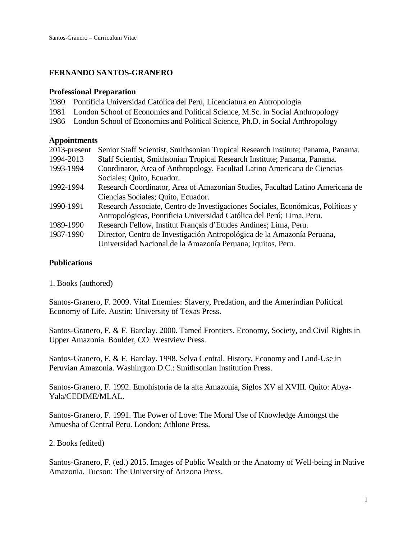# **FERNANDO SANTOS-GRANERO**

#### **Professional Preparation**

- 1980 Pontificia Universidad Católica del Perú, Licenciatura en Antropología
- 1981 London School of Economics and Political Science, M.Sc. in Social Anthropology
- 1986 London School of Economics and Political Science, Ph.D. in Social Anthropology

### **Appointments**

| Senior Staff Scientist, Smithsonian Tropical Research Institute; Panama, Panama. |
|----------------------------------------------------------------------------------|
| Staff Scientist, Smithsonian Tropical Research Institute; Panama, Panama.        |
| Coordinator, Area of Anthropology, Facultad Latino Americana de Ciencias         |
| Sociales; Quito, Ecuador.                                                        |
| Research Coordinator, Area of Amazonian Studies, Facultad Latino Americana de    |
| Ciencias Sociales; Quito, Ecuador.                                               |
| Research Associate, Centro de Investigaciones Sociales, Económicas, Políticas y  |
| Antropológicas, Pontificia Universidad Católica del Perú; Lima, Peru.            |
| Research Fellow, Institut Français d'Etudes Andines; Lima, Peru.                 |
| Director, Centro de Investigación Antropológica de la Amazonía Peruana,          |
| Universidad Nacional de la Amazonía Peruana; Iquitos, Peru.                      |
|                                                                                  |

## **Publications**

1. Books (authored)

Santos-Granero, F. 2009. Vital Enemies: Slavery, Predation, and the Amerindian Political Economy of Life. Austin: University of Texas Press.

Santos-Granero, F. & F. Barclay. 2000. Tamed Frontiers. Economy, Society, and Civil Rights in Upper Amazonia. Boulder, CO: Westview Press.

Santos-Granero, F. & F. Barclay. 1998. Selva Central. History, Economy and Land-Use in Peruvian Amazonia. Washington D.C.: Smithsonian Institution Press.

Santos-Granero, F. 1992. Etnohistoria de la alta Amazonía, Siglos XV al XVIII. Quito: Abya-Yala/CEDIME/MLAL.

Santos-Granero, F. 1991. The Power of Love: The Moral Use of Knowledge Amongst the Amuesha of Central Peru. London: Athlone Press.

### 2. Books (edited)

Santos-Granero, F. (ed.) 2015. Images of Public Wealth or the Anatomy of Well-being in Native Amazonia. Tucson: The University of Arizona Press.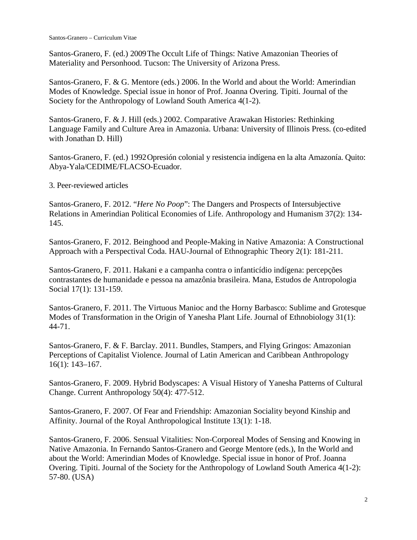Santos-Granero, F. (ed.) 2009The Occult Life of Things: Native Amazonian Theories of Materiality and Personhood. Tucson: The University of Arizona Press.

Santos-Granero, F. & G. Mentore (eds.) 2006. In the World and about the World: Amerindian Modes of Knowledge. Special issue in honor of Prof. Joanna Overing. Tipiti. Journal of the Society for the Anthropology of Lowland South America 4(1-2).

Santos-Granero, F. & J. Hill (eds.) 2002. Comparative Arawakan Histories: Rethinking Language Family and Culture Area in Amazonia. Urbana: University of Illinois Press. (co-edited with Jonathan D. Hill)

Santos-Granero, F. (ed.) 1992Opresión colonial y resistencia indígena en la alta Amazonía. Quito: Abya-Yala/CEDIME/FLACSO-Ecuador.

3. Peer-reviewed articles

Santos-Granero, F. 2012. "*Here No Poop*": The Dangers and Prospects of Intersubjective Relations in Amerindian Political Economies of Life. Anthropology and Humanism 37(2): 134- 145.

Santos-Granero, F. 2012. Beinghood and People-Making in Native Amazonia: A Constructional Approach with a Perspectival Coda. HAU-Journal of Ethnographic Theory 2(1): 181-211.

Santos-Granero, F. 2011. Hakani e a campanha contra o infanticídio indígena: percepções contrastantes de humanidade e pessoa na amazônia brasileira. Mana, Estudos de Antropologia Social 17(1): 131-159.

Santos-Granero, F. 2011. The Virtuous Manioc and the Horny Barbasco: Sublime and Grotesque Modes of Transformation in the Origin of Yanesha Plant Life. Journal of Ethnobiology 31(1): 44-71.

Santos-Granero, F. & F. Barclay. 2011. Bundles, Stampers, and Flying Gringos: Amazonian Perceptions of Capitalist Violence. Journal of Latin American and Caribbean Anthropology 16(1): 143–167.

Santos-Granero, F. 2009. Hybrid Bodyscapes: A Visual History of Yanesha Patterns of Cultural Change. Current Anthropology 50(4): 477-512.

Santos-Granero, F. 2007. Of Fear and Friendship: Amazonian Sociality beyond Kinship and Affinity. Journal of the Royal Anthropological Institute 13(1): 1-18.

Santos-Granero, F. 2006. Sensual Vitalities: Non-Corporeal Modes of Sensing and Knowing in Native Amazonia. In Fernando Santos-Granero and George Mentore (eds.), In the World and about the World: Amerindian Modes of Knowledge. Special issue in honor of Prof. Joanna Overing. Tipiti. Journal of the Society for the Anthropology of Lowland South America 4(1-2): 57-80. (USA)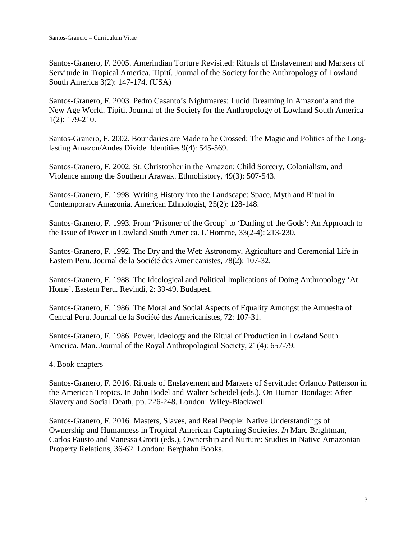Santos-Granero, F. 2005. Amerindian Torture Revisited: Rituals of Enslavement and Markers of Servitude in Tropical America. Tipití. Journal of the Society for the Anthropology of Lowland South America 3(2): 147-174. (USA)

Santos-Granero, F. 2003. Pedro Casanto's Nightmares: Lucid Dreaming in Amazonia and the New Age World. Tipiti. Journal of the Society for the Anthropology of Lowland South America 1(2): 179-210.

Santos-Granero, F. 2002. Boundaries are Made to be Crossed: The Magic and Politics of the Longlasting Amazon/Andes Divide. Identities 9(4): 545-569.

Santos-Granero, F. 2002. St. Christopher in the Amazon: Child Sorcery, Colonialism, and Violence among the Southern Arawak. Ethnohistory, 49(3): 507-543.

Santos-Granero, F. 1998. Writing History into the Landscape: Space, Myth and Ritual in Contemporary Amazonia. American Ethnologist, 25(2): 128-148.

Santos-Granero, F. 1993. From 'Prisoner of the Group' to 'Darling of the Gods': An Approach to the Issue of Power in Lowland South America. L'Homme, 33(2-4): 213-230.

Santos-Granero, F. 1992. The Dry and the Wet: Astronomy, Agriculture and Ceremonial Life in Eastern Peru. Journal de la Société des Americanistes, 78(2): 107-32.

Santos-Granero, F. 1988. The Ideological and Political Implications of Doing Anthropology 'At Home'. Eastern Peru. Revindi, 2: 39-49. Budapest.

Santos-Granero, F. 1986. The Moral and Social Aspects of Equality Amongst the Amuesha of Central Peru. Journal de la Société des Americanistes, 72: 107-31.

Santos-Granero, F. 1986. Power, Ideology and the Ritual of Production in Lowland South America. Man. Journal of the Royal Anthropological Society, 21(4): 657-79.

4. Book chapters

Santos-Granero, F. 2016. Rituals of Enslavement and Markers of Servitude: Orlando Patterson in the American Tropics. In John Bodel and Walter Scheidel (eds.), On Human Bondage: After Slavery and Social Death, pp. 226-248. London: Wiley-Blackwell.

Santos-Granero, F. 2016. Masters, Slaves, and Real People: Native Understandings of Ownership and Humanness in Tropical American Capturing Societies. *In* Marc Brightman, Carlos Fausto and Vanessa Grotti (eds.), Ownership and Nurture: Studies in Native Amazonian Property Relations, 36-62. London: Berghahn Books.